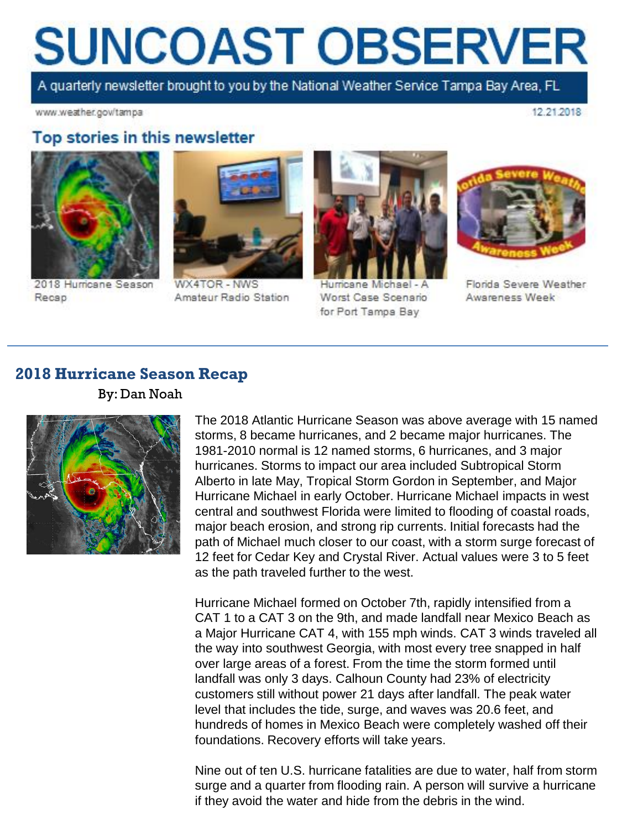# **SUNCOAST OBSERVER**

A quarterly newsletter brought to you by the National Weather Service Tampa Bay Area, FL

www.weather.gov/tampa

12.21.2018

### Top stories in this newsletter



2018 Hurricane Season Recap



WX4TOR - NWS Amateur Radio Station



Hurricane Michael - A Worst Case Scenario for Port Tampa Bay



Florida Severe Weather Awareness Week

#### **2018 Hurricane Season Recap**



By: Dan Noah

The 2018 Atlantic Hurricane Season was above average with 15 named storms, 8 became hurricanes, and 2 became major hurricanes. The 1981-2010 normal is 12 named storms, 6 hurricanes, and 3 major hurricanes. Storms to impact our area included Subtropical Storm Alberto in late May, Tropical Storm Gordon in September, and Major Hurricane Michael in early October. Hurricane Michael impacts in west central and southwest Florida were limited to flooding of coastal roads, major beach erosion, and strong rip currents. Initial forecasts had the path of Michael much closer to our coast, with a storm surge forecast of 12 feet for Cedar Key and Crystal River. Actual values were 3 to 5 feet as the path traveled further to the west.

Hurricane Michael formed on October 7th, rapidly intensified from a CAT 1 to a CAT 3 on the 9th, and made landfall near Mexico Beach as a Major Hurricane CAT 4, with 155 mph winds. CAT 3 winds traveled all the way into southwest Georgia, with most every tree snapped in half over large areas of a forest. From the time the storm formed until landfall was only 3 days. Calhoun County had 23% of electricity customers still without power 21 days after landfall. The peak water level that includes the tide, surge, and waves was 20.6 feet, and hundreds of homes in Mexico Beach were completely washed off their foundations. Recovery efforts will take years.

Nine out of ten U.S. hurricane fatalities are due to water, half from storm surge and a quarter from flooding rain. A person will survive a hurricane if they avoid the water and hide from the debris in the wind.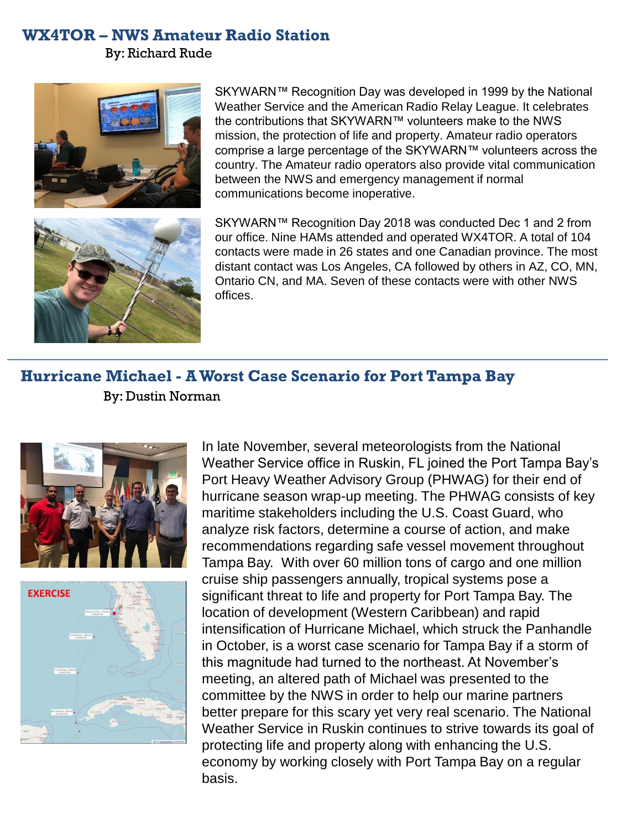#### **WX4TOR – NWS Amateur Radio Station**

By: Richard Rude





SKYWARN™ Recognition Day was developed in 1999 by the National Weather Service and the American Radio Relay League. It celebrates the contributions that SKYWARN™ volunteers make to the NWS mission, the protection of life and property. Amateur radio operators comprise a large percentage of the SKYWARN™ volunteers across the country. The Amateur radio operators also provide vital communication between the NWS and emergency management if normal communications become inoperative.

SKYWARN™ Recognition Day 2018 was conducted Dec 1 and 2 from our office. Nine HAMs attended and operated WX4TOR. A total of 104 contacts were made in 26 states and one Canadian province. The most distant contact was Los Angeles, CA followed by others in AZ, CO, MN, Ontario CN, and MA. Seven of these contacts were with other NWS offices.

## **Hurricane Michael - A Worst Case Scenario for Port Tampa Bay** By: Dustin Norman





In late November, several meteorologists from the National Weather Service office in Ruskin, FL joined the Port Tampa Bay's Port Heavy Weather Advisory Group (PHWAG) for their end of hurricane season wrap-up meeting. The PHWAG consists of key maritime stakeholders including the U.S. Coast Guard, who analyze risk factors, determine a course of action, and make recommendations regarding safe vessel movement throughout Tampa Bay. With over 60 million tons of cargo and one million cruise ship passengers annually, tropical systems pose a significant threat to life and property for Port Tampa Bay. The location of development (Western Caribbean) and rapid intensification of Hurricane Michael, which struck the Panhandle in October, is a worst case scenario for Tampa Bay if a storm of this magnitude had turned to the northeast. At November's meeting, an altered path of Michael was presented to the committee by the NWS in order to help our marine partners better prepare for this scary yet very real scenario. The National Weather Service in Ruskin continues to strive towards its goal of protecting life and property along with enhancing the U.S. economy by working closely with Port Tampa Bay on a regular basis.